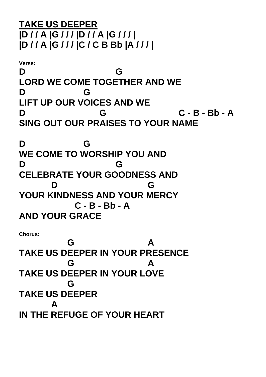**TAKE US DEEPER |D / / A |G / / / |D / / A |G / / / | |D / / A |G / / / |C / C B Bb |A / / / |**

**Verse: D G LORD WE COME TOGETHER AND WE D G LIFT UP OUR VOICES AND WE D G C - B - Bb - A SING OUT OUR PRAISES TO YOUR NAME**

**D G WE COME TO WORSHIP YOU AND D G CELEBRATE YOUR GOODNESS AND D G YOUR KINDNESS AND YOUR MERCY C - B - Bb - A AND YOUR GRACE**

**Chorus:**

**G A TAKE US DEEPER IN YOUR PRESENCE G A TAKE US DEEPER IN YOUR LOVE G TAKE US DEEPER A IN THE REFUGE OF YOUR HEART**